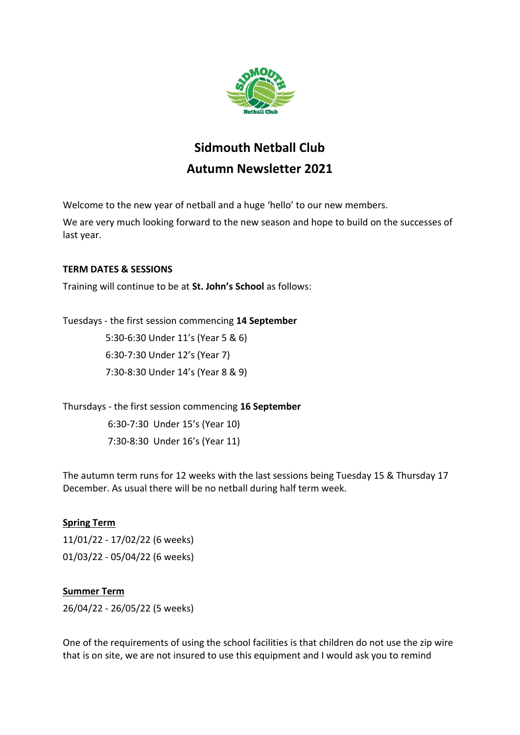

# **Sidmouth Netball Club Autumn Newsletter 2021**

Welcome to the new year of netball and a huge 'hello' to our new members.

We are very much looking forward to the new season and hope to build on the successes of last year.

## **TERM DATES & SESSIONS**

Training will continue to be at **St. John's School** as follows:

Tuesdays - the first session commencing **14 September**

 5:30-6:30 Under 11's (Year 5 & 6) 6:30-7:30 Under 12's (Year 7) 7:30-8:30 Under 14's (Year 8 & 9)

Thursdays - the first session commencing **16 September** 6:30-7:30 Under 15's (Year 10) 7:30-8:30 Under 16's (Year 11)

The autumn term runs for 12 weeks with the last sessions being Tuesday 15 & Thursday 17 December. As usual there will be no netball during half term week.

# **Spring Term**

11/01/22 - 17/02/22 (6 weeks) 01/03/22 - 05/04/22 (6 weeks)

# **Summer Term**

26/04/22 - 26/05/22 (5 weeks)

One of the requirements of using the school facilities is that children do not use the zip wire that is on site, we are not insured to use this equipment and I would ask you to remind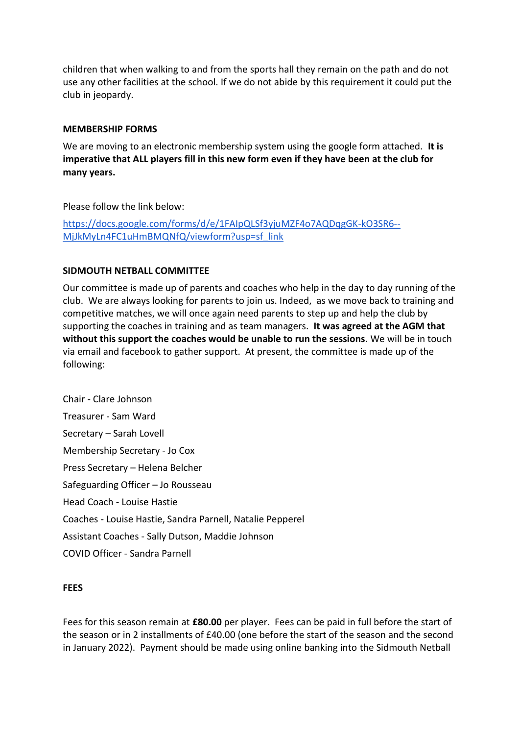children that when walking to and from the sports hall they remain on the path and do not use any other facilities at the school. If we do not abide by this requirement it could put the club in jeopardy.

#### **MEMBERSHIP FORMS**

We are moving to an electronic membership system using the google form attached. **It is imperative that ALL players fill in this new form even if they have been at the club for many years.**

Please follow the link below:

[https://docs.google.com/forms/d/e/1FAIpQLSf3yjuMZF4o7AQDqgGK-kO3SR6--](https://docs.google.com/forms/d/e/1FAIpQLSf3yjuMZF4o7AQDqgGK-kO3SR6--MjJkMyLn4FC1uHmBMQNfQ/viewform?usp=sf_link) [MjJkMyLn4FC1uHmBMQNfQ/viewform?usp=sf\\_link](https://docs.google.com/forms/d/e/1FAIpQLSf3yjuMZF4o7AQDqgGK-kO3SR6--MjJkMyLn4FC1uHmBMQNfQ/viewform?usp=sf_link)

## **SIDMOUTH NETBALL COMMITTEE**

Our committee is made up of parents and coaches who help in the day to day running of the club. We are always looking for parents to join us. Indeed, as we move back to training and competitive matches, we will once again need parents to step up and help the club by supporting the coaches in training and as team managers. **It was agreed at the AGM that without this support the coaches would be unable to run the sessions**. We will be in touch via email and facebook to gather support. At present, the committee is made up of the following:

Chair - Clare Johnson Treasurer - Sam Ward Secretary – Sarah Lovell Membership Secretary - Jo Cox Press Secretary – Helena Belcher Safeguarding Officer – Jo Rousseau Head Coach - Louise Hastie Coaches - Louise Hastie, Sandra Parnell, Natalie Pepperel Assistant Coaches - Sally Dutson, Maddie Johnson COVID Officer - Sandra Parnell

#### **FEES**

Fees for this season remain at **£80.00** per player. Fees can be paid in full before the start of the season or in 2 installments of £40.00 (one before the start of the season and the second in January 2022). Payment should be made using online banking into the Sidmouth Netball